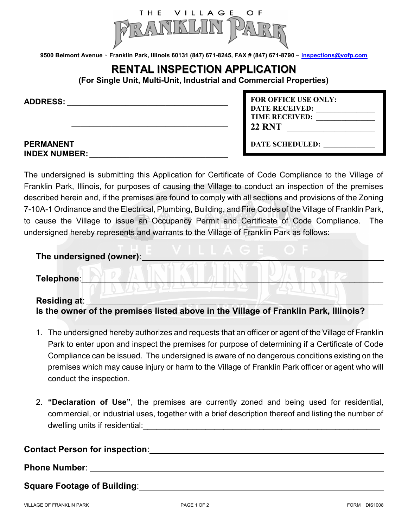

9500 Belmont Avenue · Franklin Park, Illinois 60131 (847) 671-8245, FAX # (847) 671-8790 - inspections@vofp.com

## RENTAL INSPECTION APPLICATION

(For Single Unit, Multi-Unit, Industrial and Commercial Properties)

 $\overline{\phantom{a}}$  ,  $\overline{\phantom{a}}$  ,  $\overline{\phantom{a}}$  ,  $\overline{\phantom{a}}$  ,  $\overline{\phantom{a}}$  ,  $\overline{\phantom{a}}$  ,  $\overline{\phantom{a}}$  ,  $\overline{\phantom{a}}$  ,  $\overline{\phantom{a}}$  ,  $\overline{\phantom{a}}$  ,  $\overline{\phantom{a}}$  ,  $\overline{\phantom{a}}$  ,  $\overline{\phantom{a}}$  ,  $\overline{\phantom{a}}$  ,  $\overline{\phantom{a}}$  ,  $\overline{\phantom{a}}$ 

ADDRESS: \_\_\_\_\_\_\_\_\_\_\_\_\_\_\_\_\_\_\_\_\_\_\_\_\_\_\_\_\_\_\_\_\_\_\_\_

#### PERMANENT INDEX NUMBER:

| <b>FOR OFFICE USE ONLY:</b> |  |
|-----------------------------|--|
| <b>DATE RECEIVED:</b>       |  |
| <b>TIME RECEIVED:</b>       |  |
| <b>22 RNT</b>               |  |
| <b>DATE SCHEDULED:</b>      |  |

The undersigned is submitting this Application for Certificate of Code Compliance to the Village of Franklin Park, Illinois, for purposes of causing the Village to conduct an inspection of the premises described herein and, if the premises are found to comply with all sections and provisions of the Zoning 7-10A-1 Ordinance and the Electrical, Plumbing, Building, and Fire Codes of the Village of Franklin Park, to cause the Village to issue an Occupancy Permit and Certificate of Code Compliance. The undersigned hereby represents and warrants to the Village of Franklin Park as follows:

| The undersigned (owner):                                                                                    |
|-------------------------------------------------------------------------------------------------------------|
| Telephone:                                                                                                  |
| <b>Residing at:</b><br>Is the owner of the premises listed above in the Village of Franklin Park, Illinois? |

- 1. The undersigned hereby authorizes and requests that an officer or agent of the Village of Franklin Park to enter upon and inspect the premises for purpose of determining if a Certificate of Code Compliance can be issued. The undersigned is aware of no dangerous conditions existing on the premises which may cause injury or harm to the Village of Franklin Park officer or agent who will conduct the inspection.
- 2. "Declaration of Use", the premises are currently zoned and being used for residential, commercial, or industrial uses, together with a brief description thereof and listing the number of dwelling units if residential:

### Contact Person for inspection: \_\_\_\_\_\_\_\_\_\_\_\_\_\_\_\_\_\_\_\_\_\_\_\_\_\_\_\_\_\_\_\_\_\_\_\_\_\_\_\_\_\_\_\_\_\_\_\_

#### Phone Number: \_\_\_\_\_\_\_\_\_\_\_\_\_\_\_\_\_\_\_\_\_\_\_\_\_\_\_\_\_\_\_\_\_\_\_\_\_\_\_\_\_\_\_\_\_\_\_\_\_\_\_\_\_\_\_\_\_\_\_\_\_

Square Footage of Building: Square Footage of Building: